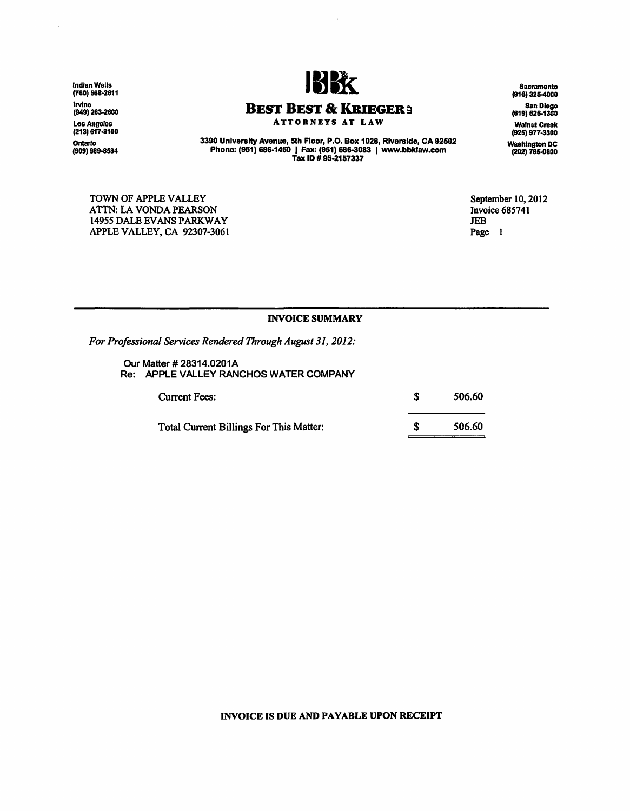Indian Wells (760) 568-2611 Irvine (949) 263-2600 Los Angeles (213) 617-8100 Ontario<br>(909) 989-8584

 $\bar{\mathcal{A}}$ 



BEST BEST & KRIEGER ! ATTORNEYS AT LAW

3390 University Avenue, 5th Floor, P.O. Box 1028, Riverside, CA 92502 Phone: (951) 686-1450 I Fax: (951) 688-3083 I www.bbklaw.com Tax ID # 95-2157337

Sacramento (916) 325-4000 San Diogo (619) 525-1300 Walnut Creek (925) 977-3300

Washington DC (202) 785-0800

September 10, 2012 Invoice 685741 JEB Page l

INVOICE SUMMARY

*For Professional Services Rendered Through August 31, 2012:* 

Our Matter # 28314.0201A Re: APPLE VALLEY RANCHOS WATER COMPANY

| <b>Current Fees:</b>                    | 506.60 |
|-----------------------------------------|--------|
| Total Current Billings For This Matter: | 506.60 |

## INVOICE IS DUE AND PAYABLE UPON RECEIPT

TOWN OF APPLE VALLEY ATTN: LA VONDA PEARSON 14955 DALE EVANS PARKWAY APPLE VALLEY, CA 92307-3061